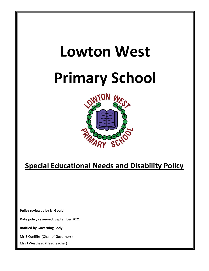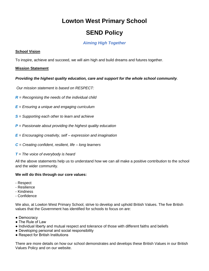# **Lowton West Primary School SEND Policy**

# *Aiming High Together*

#### **School Vision**

To inspire, achieve and succeed, we will aim high and build dreams and futures together.

#### **Mission Statement**

#### *Providing the highest quality education, care and support for the whole school community.*

*Our mission statement is based on RESPECT:*

- *R = Recognising the needs of the individual child*
- *E = Ensuring a unique and engaging curriculum*
- *S = Supporting each other to learn and achieve*
- *P = Passionate about providing the highest quality education*
- *E = Encouraging creativity, self – expression and imagination*
- *C = Creating confident, resilient, life – long learners*
- *T = The voice of everybody is heard*

All the above statements help us to understand how we can all make a positive contribution to the school and the wider community.

#### **We will do this through our core values:**

- Respect
- Resilience
- Kindness
- Confidence

We also, at Lowton West Primary School, strive to develop and uphold British Values. The five British values that the Government has identified for schools to focus on are:

- Democracy
- The Rule of Law
- Individual liberty and mutual respect and tolerance of those with different faiths and beliefs
- Developing personal and social responsibility
- Respect for British Institutions

There are more details on how our school demonstrates and develops these British Values in our British Values Policy and on our website.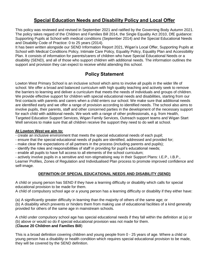# **Special Education Needs and Disability Policy and Local Offer**

This policy was reviewed and revised in September 2021 and ratified by the Governing Body Autumn 2021. The policy takes regard of the Children and Families Bill 2014, the Single Equality Act 2010, DfE guidance: Supporting Pupils at School with medical conditions (September 2014) and the Special Educational Needs and Disability Code of Practice: 0 to 25 years (2014).

It has been written alongside our SEND Information Report 2021, Wigan's Local Offer, Supporting Pupils at School with Medical Conditions Policy, Intimate Care Policy, Equality Policy, Equality Plan and Accessibility Plan. It consists of information for parents/carers of children who have Special Educational Needs or a disability (SEND), and all of those who support children with additional needs. The information outlines the support and provision they can expect to receive whilst attending this school.

# **Policy Statement**

Lowton West Primary School is an inclusive school which aims to involve all pupils in the wider life of school. We offer a broad and balanced curriculum with high quality teaching and actively seek to remove the barriers to learning and deliver a curriculum that meets the needs of individuals and groups of children. We provide effective support for children with special educational needs and disabilities, starting from our first contacts with parents and carers when a child enters our school. We make sure that additional needs are identified early and we offer a range of provision according to identified needs. The school also aims to involve pupils, their parents, staff and other concerned parties in the development of the necessary support for each child with additional needs. We work with a range of other professionals, e.g. from Health, Targeted Education Support Services, Wigan Family Services, Outreach support teams and Wigan Start Well services to make sure that all children receive the support they need to do well at school.

# **At Lowton West we aim to:**

- create an inclusive environment that meets the special educational needs of each pupil;

- ensure that the special educational needs of pupils are identified, addressed and provided for;
- make clear the expectations of all partners in the process (including parents and pupils);
- identify the roles and responsibilities of staff in providing for pupil's educational needs;
- enable all pupils to have full access to all elements of the school curriculum;

- actively involve pupils in a sensitive and non-stigmatising way in their Support Plans: I.E.P., I.B.P.,

Learner Profiles, Zones of Regulation and Individualised Plan process to promote improved confidence and self-image.

# **DEFINITION OF SPECIAL EDUCATIONAL NEEDS AND DISABILITY (SEND)**

A child or young person has SEND if they have a learning difficulty or disability which calls for special educational provision to be made for them.

A child of compulsory school age or a young person has a learning difficulty or disability if they either have:

(a) A significantly greater difficulty in learning than the majority of others of the same age; or

(b) A disability which prevents or hinders them from making use of educational facilities of a kind generally provided for others of the same age in mainstream schools.

A child under compulsory school age has special educational needs if they fall within the definition at (a) or (b) above or would so do if special educational provision was not made for them. (**Clause 20 Children and Families Bill**)

This is a broad definition covering children and young people from 0 - 25 years of age. Where a child or young person has a disability or health condition which requires special educational provision to be made, they will be covered by the SEND definition.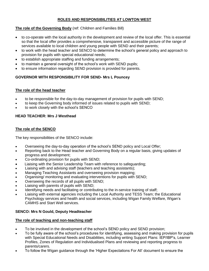# **ROLES AND RESPONSIBILITIES AT LOWTON WEST**

#### **The role of the Governing Body** (ref: Children and Families Bill)

- to co-operate with the local authority in the development and review of the local offer. This is essential so that the local offer provides a comprehensive, transparent and accessible picture of the range of services available to local children and young people with SEND and their parents;
- to work with the head teacher and SENCO to determine the school's general policy and approach to provision for pupils with special educational needs;
- to establish appropriate staffing and funding arrangements;
- to maintain a general oversight of the school's work with SEND pupils;
- to ensure information regarding SEND provision is provided for parents.

# **GOVERNOR WITH RESPONSIBILITY FOR SEND- Mrs L Pouncey**

#### **The role of the head teacher**

- to be responsible for the day-to-day management of provision for pupils with SEND;
- to keep the Governing body informed of issues related to pupils with SEND;
- to work closely with the school's SENCO

# **HEAD TEACHER: Mrs J Westhead**

#### **The role of the SENCO**

The key responsibilities of the SENCO include:

- Overseeing the day-to-day operation of the school's SEND policy and Local Offer;
- Reporting back to the Head teacher and Governing Body on a regular basis, giving updates of progress and development;
- Co-ordinating provision for pupils with SEND;
- Liaising with the Senior Leadership Team with reference to safeguarding;
- Liaising with and advising staff (teachers and teaching assistants);
- Managing Teaching Assistants and overseeing provision mapping;
- Organising/ monitoring and evaluating interventions for pupils with SEND;
- Overseeing the records of all pupils with SEND;
- Liaising with parents of pupils with SEND;
- Identifying needs and facilitating or contributing to the in-service training of staff;
- Liaising with external agencies including the Local Authority and TESS Team; the Educational Psychology services and health and social services, including Wigan Family Welfare, Wigan's CAMHS and Start Well services.

# **SENCO: Mrs N Gould, Deputy Headteacher**

#### **The role of teaching and non-teaching staff**

- To be involved in the development of the school's SEND policy and SEND provision;
- To be fully aware of the school's procedures for identifying, assessing and making provision for pupils with Special Educational Needs and Disabilities, including writing Support Plans: IEP/IBP's, Learner Profiles, Zones of Regulation and Individualised Plans and reviewing and reporting progress to parents/carers.
- To follow the Wigan guidance through the 'Higher Expectations For All' document to ensure the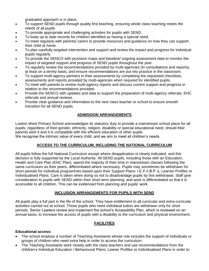graduated approach is in place.

- To support SEND pupils through quality first teaching, ensuring whole class teaching meets the needs of all pupils
- To provide appropriate and challenging activities for pupils with SEND.
- To keep up to date records for children identified as having a special need.
- To meet regularly with parents/ carers to provide resources and guidance on how they can support their child at home.
- To plan carefully targeted intervention and support and review the impact and progress for individual pupils regularly.
- To provide the SENCO with provision maps and baseline/ ongoing assessment data to monitor the impact of targeted support and progress of SEND pupils throughout the year.
- To regularly review the recommendations provided by multi-agencies (in consultations and reports), at least on a termly basis, and ensure recommendations are put into practice in the classroom.
- To support multi-agency partners in their assessments by completing the requested checklists, assessments and reports provided by multi-agencies when required for identified pupils.
- To meet with parents to review multi-agency reports and discuss current support and progress in relation to the recommendations provided.
- Provide the SENCO with updates and data to support the preparation of multi-agency referrals, EHC referrals and annual reviews.
- Provide clear guidance and information to the next class teacher or school to ensure smooth transition for all SEND pupils.

# **ADMISSION ARRANGEMENTS**

Lowton West Primary School acknowledges its statutory duty to provide a mainstream school place for all pupils, regardless of their gender, ethnicity, religion, disability or special educational need, should their parents wish it and it is compatible with the efficient education of other pupils.

We recognise the intrinsic value of every child, and we aim to meet all children's needs.

# **ACCESS TO THE CURRICULUM, INCLUDING THE NATIONAL CURRICULUM**

All pupils follow the full National Curriculum except where disapplication is clearly indicated, and this decision is fully supported by the Local Authority. All SEND pupils, including those with an Education, Health and Care Plan (EHC Plan), spend the majority of their time in mainstream classes following the same curriculum as their peers, differentiated where necessary. Pupils may sometimes be withdrawn for short periods for individual programmes based upon their Support Plans: I.E.P./I.B.P.'s, Learner Profiles or Individualised Plans. Care is taken when doing so not to disadvantage pupils by this withdrawal. Staff give consideration to pupils with SEND within their short term planning, and work is differentiated so that it is accessible to all children. This can be evidenced from planning and pupils' work.

# **INCLUSION ARRANGEMENTS FOR PUPILS WITH SEND**

All pupils play a full part in the life of the school. They have entitlement to all curricular and extra-curricular activities carried out at school. Those pupils who need individual tuition are withdrawn only for short periods. Senior Leaders review and implement the school's Accessibility Plan, which is reviewed on an annual basis, to increase the access of pupils with a disability to the curriculum and physical environment.

# **FACILITIES**

# **Educational access:**

- The school employs a number of Teaching Assistants whose role includes the support of individuals or groups of children who need extra help in order to access the curriculum.
- The Teaching Assistants work closely with the class teachers and use recommendations from the children's Individual Education / Behavioural Plans, Leaner Profiles or Individualised Plans in order to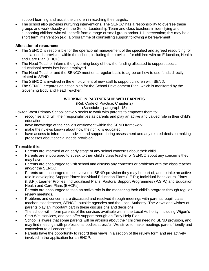support learning and assist the children in reaching their targets.

• The school also provides nurturing interventions. The SENCO has a responsibility to oversee these groups and work closely with the Senior Leadership Team and class teachers in identifying and supporting children who will benefit from a range of small group and/or 1:1 intervention; this may be a short term intervention (e.g. a programme of counselling support following a bereavement).

#### **Allocation of resources:**

- The SENCO is responsible for the operational management of the specified and agreed resourcing for special needs provision within the school, including the provision for children with an Education, Health and Care Plan (EHCP).
- The Head Teacher informs the governing body of how the funding allocated to support special educational needs has been employed.
- The Head Teacher and the SENCO meet on a regular basis to agree on how to use funds directly related to SEND.
- The SENCO is involved in the employment of new staff to support children with SEND.
- The SENCO prepares an action plan for the School Development Plan, which is monitored by the Governing Body and Head Teacher.

# **WORKING IN PARTNERSHIP WITH PARENTS**

(Ref: Code of Practice: Chapter 2)

#### (Schedule 1 paragraph 15)

Lowton West Primary School actively seeks to work with parents to empower them to:

- recognise and fulfil their responsibilities as parents and play an active and valued role in their child's education;
- have knowledge of their child's entitlement within the SEND framework;
- make their views known about how their child is educated;
- have access to information, advice and support during assessment and any related decision making processes about special needs provision.

To enable this:

- Parents are informed at an early stage of any school concerns about their child.
- Parents are encouraged to speak to their child's class teacher or SENCO about any concerns they may have.
- Parents are encouraged to visit school and discuss any concerns or problems with the class teacher and/or the SENCO.
- Parents are encouraged to be involved in SEND provision they may be part of, and to take an active role in developing Support Plans: Individual Education Plans (I.E.P.); Individual Behavioural Plans (I.B.P.); Learner Profiles, Individualised Plans; Pastoral Support Programmes (P.S.P.) and Education, Health and Care Plans (EHCPs).
- Parents are encouraged to take an active role in the monitoring their child's progress through regular review meetings.
- Problems and concerns are discussed and resolved through meetings with parents, pupil, class teacher, Headteacher, SENCO, outside agencies and the Local Authority. The views and wishes of parents play an important part in these discussions and decisions.
- The school will inform parents of the services available within the Local Authority, including Wigan's Start Well services, and can offer support through an Early Help Plan.
- School is aware that some parents will be anxious about their children needing SEND provision, and may find meetings with professional bodies stressful. We strive to make meetings parent friendly and convenient to all concerned.
- Parents have the opportunity to record their views in a section of the review form and are actively involved in the application for an EHCP.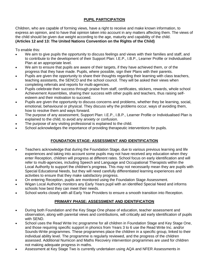# **PUPIL PARTICIPATION**

Children, who are capable of forming views, have a right to receive and make known information, to express an opinion, and to have that opinion taken into account in any matters affecting them. The views of the child should be given due weight according to the age, maturity and capability of the child. **(Articles 12 and 13: The United Nations Convention on the Rights of the Child)**

To enable this:

- We aim to give pupils the opportunity to discuss feelings and views with their families and staff, and to contribute to the development of their Support Plan: I.E.P., I.B.P., Learner Profile or Individualised Plan at an appropriate level.
- We aim to ensure that pupils are aware of their targets, if they have achieved them, or of the progress that they have made. Pupils, where possible, sign their Plans with their parents.
- Pupils are given the opportunity to share their thoughts regarding their learning with class teachers, teaching assistants, the SENCO and the school council. They will be asked their views when completing referrals and reports for multi-agencies.
- Pupils celebrate their success through praise from staff, certificates, stickers, rewards, whole school Achievement Assemblies, sharing their success with other pupils and teachers, thus raising selfesteem and their motivation to succeed.
- Pupils are given the opportunity to discuss concerns and problems, whether they be learning, social, emotional, behavioural or physical. They discuss why the problems occur, ways of avoiding them, how to resolve them and ways forward.
- The purpose of any assessment, Support Plan: I.E.P., I.B.P., Learner Profile or Individualised Plan is explained to the child, to avoid any anxiety or confusion.
- The purpose of any visiting professional is explained to the child.
- School acknowledges the importance of providing therapeutic interventions for pupils.

# **FOUNDATION STAGE: ASSESSMENT AND IDENTIFICATION**

- Teachers acknowledge that during the Foundation Stage, due to various previous learning and life experiences and taking into account some pupils may not have received any education when they enter Reception, children will progress at different rates. School focus on early identification and will refer to multi-agencies, including Speech and Language and Occupational Therapists within the Local Authority to support the children's progress. This may not necessarily mean they are pupils with Special Educational Needs, but they will need carefully differentiated learning experiences and activities to ensure that they make satisfactory progress.
- On entering Reception, pupils are monitored using the Foundation Stage Assessment.
- Wigan Local Authority monitors any Early Years pupil with an identified Special Need and informs schools how best they can meet their needs.
- School works closely with all Early Year Providers to ensure a smooth transition into Reception.

# **PRIMARY PHASE: ASSESSMENT AND IDENTIFICATION**

- During both Foundation and the Key Stage One phase of education, teacher assessment and observation, along with parental views and contributions, will critically aid early identification of pupils with SEND.
- School uses the Read Write Inc programme for all children in Foundation Stage and Key Stage One, and those requiring specific support in phonics from Years 3 to 6 use the Read Write Inc. and/or Sounds-Write programmes. These programmes place the children in a specific group, linked to their individual ability level. The programme is regularly reviewed, and the progress of the children assessed. Additional Numicon and Maths Recovery intervention programmes are used for children not making adequate progress in maths.
- Assessment at Key Stage Two is currently undertaken using AQA and NFER Assessments in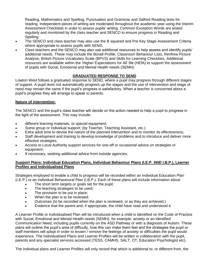Reading, Mathematics and Spelling, Punctuation and Grammar and Salford Reading tests for reading. Independent pieces of writing are moderated throughout the academic year using the Interim Assessment Checklists in order to assess pupils' writing. Common Exception Words are tested regularly and monitored by the class teacher and SENCO to ensure progress in Reading and Spelling.

- The SENCO and class teacher may also use the B squared and Pre Key Stage Assessment Criteria where appropriate to assess pupils with SEND.
- Class teachers and the SENCO may also use additional resources to help assess and identify pupils' additional needs. These may include the Boxall Profile, Classroom Behaviour Lists, Renfrew Picture Analysis, British Picture Vocabulary Scale (BPVS) and Skills for Learning Checklists. Additional resources are available within the 'Higher Expectations for All' file (HEfA) to support the assessment of pupils with Social, Emotional and Mental Health needs (SEMH).

# **GRADUATED RESPONSE TO SEND**

Lowton West follows a graduated response to SEND, where a pupil may progress through different stages of support. A pupil does not automatically progress up the stages and the use of intervention and stage of need may remain the same if the pupil's progress is satisfactory. When a teacher is concerned about a pupil's progress they will arrange to speak to parents.

#### **Nature of intervention:**

The SENCO and the pupil's class teacher will decide on the action needed to help a pupil to progress in the light of the assessment. This may include:

- different learning materials, or special equipment;
- Some group or individual support; (by Teacher, Teaching Assistant, etc.)
- Extra adult time to devise the nature of the planned intervention and to monitor its effectiveness;
- Staff development and training to develop knowledge of problems and to introduce and deliver more effective strategies;
- Access to Local Authority support services for one-off or occasional advice on strategies or equipment;
- If necessary, seeking additional advice from outside agencies.

#### **Support Plans: Individual Education Plans, Individual Behaviour Plans (I.E.P. AND I.B.P.), Learner Profiles and Individualised Plans**

Strategies employed to enable a child to progress will be recorded within an Individual Education Plan (I.E.P.) or an Individual Behavioural Plan (I.B.P.). Each of these plans will include information about:

- The short term targets or goals set for the pupil;
- The teaching strategies to be used;
- The provision to be put in place;
- When the plan is to be reviewed;
- Outcomes (to be recorded when the plan is reviewed, or as they are achieved.)
- Evidence that the parent and, if appropriate, the child have read and understood it.

A Learner Profile or Individualised Plan will be introduced when a child is identified on the Code of Practice with Social, Emotional and Mental Health needs (SEMH), for example: anxiety or an identified Communication Need, including pupils currently on the ASD Pathway or with a diagnosis of Autism. These plans will outline the pupil's area of difficulty, how this can make them feel and the strategies the pupil or staff members will adopt in order to lessen / remove the feelings of anxiety or difficulties the pupil would experience. The Individualised Plans and Learner Profiles will be written in collaboration with the pupil, parents and any specialist services accessed (TESS, CAMHS, SALT, OT, Education Psychologist etc).

The Individual plans and Learner Profiles will only record that which is additional to; or different from, the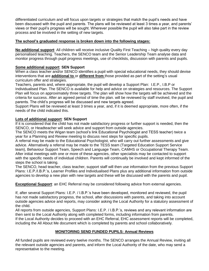differentiated curriculum and will focus upon targets or strategies that match the pupil's needs and have been discussed with the pupil and parents. The plans will be reviewed at least 3 times a year, and parents' views or their pupil's progress will be sought. Wherever possible the pupil will also take part in the review process and be involved in the setting of new targets.

#### **The school's graduated response is broken down into the following stages:**

**No additional support**: All children will receive inclusive Quality First Teaching – high quality every day personalised teaching. Teachers, the SENCO team and the Senior Leadership Team analyse data and monitor progress through pupil progress meetings, use of checklists, discussion with parents and pupils.

#### **Some additional support**: **SEN Support**

When a class teacher and/or SENCO identifies a pupil with special educational needs, they should devise interventions that are **additional to** or **different from** those provided as part of the setting's usual curriculum offer and strategies.

Teachers, parents and, where appropriate, the pupil will develop a Support Plan: I.E.P., I.B.P or Individualised Plan. The SENCO is available for help and advice on strategies and resources. The Support Plan will focus on approximately three targets. The plan will show how the targets will be achieved and the criteria for success. After an agreed period of time the plan. will be reviewed by staff involved, the pupil and parents. The child's progress will be discussed and new targets agreed.

Support Plans will be reviewed at least 3 times a year, and, if it is deemed appropriate, more often, if the needs of the child indicated this.

#### **Lots of additional support**: **SEN Support**

If it is considered that the child has not made satisfactory progress or further support is needed, then the SENCO, or Headteacher will seek advice and support from outside agencies.

The SENCO meets the Wigan team (school's link Educational Psychologist and TESS teacher) twice a year for a Planning and Review meeting to discuss next steps for specific pupils.

A referral may be made to the Educational Psychologist, who will carry out further assessments and give advice. Alternatively a referral may be made to the TESS team (Targeted Education Support Service team), Behaviour Support Team, Speech and Language Team, CAMHS or Occupational Therapy Team. After initial meetings with one or more of these agencies, other specialists may be contacted to support with the specific needs of individual children. Parents will continually be involved and kept informed of the steps the school is taking.

The SENCO, head teacher, class teacher, support staff will then use information from the previous Support Plans: I.E.P./I.B.P.'s, Learner Profiles and Individualised Plans plus any additional information from outside agencies to develop a new plan with new targets and these will be discussed with the parents and pupil.

**Exceptional Support**: an EHC Referral may be considered following advice from external agencies.

If, after several Support Plans: I.E.P. / I.B.P.'s have been developed, monitored and reviewed, the pupil has not made satisfactory progress, the school, after discussions with parents, and taking into account outside agencies advice and reports, may consider asking the Local Authority for a statutory assessment of the child.

All reports from outside agencies, Support Plans: I.E.P. / I.B.P.'s, reviews and any relevant information are then sent to the Local Authority along with completed forms, including information from parents. If the Local Authority decides to proceed with an EHC Referral, EHC assessment reports will be completed, including the All About Me document which is completed by parents and school collaboratively.

#### **MONITORING SEND FUNDED PUPILS: Annual Reviews**

All funded pupils are reviewed every twelve months. The SENCO arranges the Annual Review, inviting all the relevant outside agencies and parents, and inform the Local Authority of the date, who may send a representative to the meeting.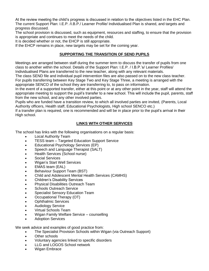At the review meeting the child's progress is discussed in relation to the objectives listed in the EHC Plan. The current Support Plan: I.E.P. /I.B.P./ Learner Profile/ Individualised Plan is shared, and targets and progress discussed.

The school provision is discussed, such as equipment, resources and staffing, to ensure that the provision is appropriate and continues to meet the needs of the child.

It is decided whether or not, the EHCP is still appropriate.

If the EHCP remains in place, new targets may be set for the coming year.

# **SUPPORTING THE TRANSITION OF SEND PUPILS**

Meetings are arranged between staff during the summer term to discuss the transfer of pupils from one class to another within the school. Details of the Support Plan: I.E.P. / I.B.P.'s/ Learner Profiles/ Individualised Plans are transferred to the new teacher, along with any relevant materials.

The class SEND file and individual pupil intervention files are also passed on to the new class teacher. For pupils transferring between Key Stage Two and Key Stage Three, a meeting is arranged with the appropriate SENCO of the school they are transferring to, to pass on information.

In the event of a supported transfer, either at this point or at any other point in the year, staff will attend the appropriate meeting to support the pupil's transfer to a new school. This will include the pupil, parents, staff from the new school, and any other involved parties.

Pupils who are funded have a transition review, to which all involved parties are invited, (Parents, Local Authority officers, Health staff, Educational Psychologists, High school SENCO etc.)

If a transfer plan is required, one is recommended and will be in place prior to the pupil's arrival in their High school.

# **LINKS WITH OTHER SERVICES**

The school has links with the following organisations on a regular basis:

- Local Authority Team
- TESS team Targeted Education Support Service
- **Educational Psychology Services (EP)**
- Speech and Language Therapist (SALT)
- Health Services (School nurse)
- Social Services
- Wigan's Start Well Services
- EMAS team (EAL)
- Behaviour Support Team (BST)
- Child and Adolescent Mental Health Services (CAMHS)
- Children's Disability Services
- Physical Disabilities Outreach Team
- Schools Outreach Service
- Specialist Sensory Education Team
- Occupational Therapy (OT)
- Ophthalmic Services
- **•** Audiology Service
- Virtual Schools Team
- Wigan Family Welfare Service counselling
- **Adoption Services**

We seek advice and examples of good practice from:

- The Specialist Provision Schools within Wigan (via Outreach Support)
- Other schools
- Voluntary agencies linked to specific disorders
- LLG and LOGOS School network
- Wigan Embrace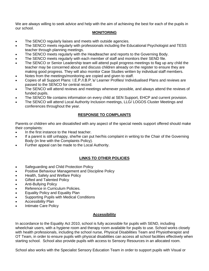We are always willing to seek advice and help with the aim of achieving the best for each of the pupils in our school.

#### **MONITORING**

- The SENCO regularly liaises and meets with outside agencies.
- The SENCO meets regularly with professionals including the Educational Psychologist and TESS teacher through planning meetings.
- The SENCO meets regularly with the Headteacher and reports to the Governing Body.
- The SENCO meets regularly with each member of staff and monitors their SEND file.
- The SENCO or Senior Leadership team will attend pupil progress meetings to flag up any child the teacher may be concerned about and discuss children already on the register to ensure they are making good progress. They will also monitor Case Studies written by individual staff members.
- Notes from the meetings/monitoring are copied and given to staff.
- Copies of all Support Plans: I.E.P./I.B.P.'s/ Learner Profiles/ Individualised Plans and reviews are passed to the SENCO for central record.
- The SENCO will attend reviews and meetings whenever possible, and always attend the reviews of funded pupils.
- The SENCO file contains information on every child at SEN Support, EHCP and current provision.
- The SENCO will attend Local Authority Inclusion meetings, LLG/ LOGOS Cluster Meetings and conferences throughout the year.

#### **RESPONSE TO COMPLAINTS**

Parents or children who are dissatisfied with any aspect of the special needs support offered should make their complaints:

- In the first instance to the Head teacher.
- If a parent is still unhappy, she/he can put her/his complaint in writing to the Chair of the Governing Body (in line with the Complaints Policy).
- Further appeal can be made to the Local Authority.

# **LINKS TO OTHER POLICIES**

- Safeguarding and Child Protection Policy
- Positive Behaviour Management and Discipline Policy
- Health, Safety and Welfare Policy
- Gifted and Talented Policy
- Anti-Bullying Policy
- Reference in Curriculum Policies.
- Equality Policy and Equality Plan
- Supporting Pupils with Medical Conditions
- Accessibility Plan
- Intimate Care Policy

# **Accessibility**

In accordance to the Equality Act 2010, school is fully accessible for pupils with SEND, including wheelchair users, with a hygiene room and therapy room available for pupils to use. School works closely with health professionals, including the school nurse, Physical Disabilities Team and Physiotherapist and OT Team, in order to ensure pupils with physical disabilities can access all school facilities effectively when starting school. School also provide pupils with access to Sensory Resources in an allocated room.

School also works with the Specialist Sensory Education Team in order to support pupils with Visual or